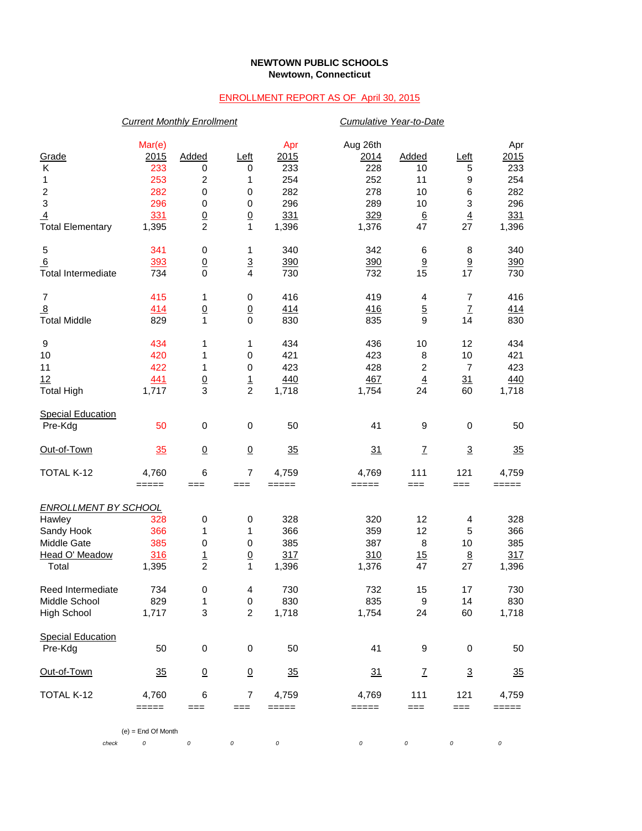## **NEWTOWN PUBLIC SCHOOLS Newtown, Connecticut**

## ENROLLMENT REPORT AS OF April 30, 2015

|                             | <b>Current Monthly Enrollment</b>                                                                                   |                 |                 |                |          | Cumulative Year-to-Date   |                           |            |  |  |
|-----------------------------|---------------------------------------------------------------------------------------------------------------------|-----------------|-----------------|----------------|----------|---------------------------|---------------------------|------------|--|--|
|                             | Mar(e)                                                                                                              |                 |                 | Apr            | Aug 26th |                           |                           | Apr        |  |  |
| Grade                       | 2015                                                                                                                | Added           | Left            | 2015           | 2014     | Added                     | Left                      | 2015       |  |  |
| Κ                           | 233                                                                                                                 | 0               | 0               | 233            | 228      | 10                        | 5                         | 233        |  |  |
| 1                           | 253                                                                                                                 | 2               | 1               | 254            | 252      | 11                        | 9                         | 254        |  |  |
| $\overline{c}$              | 282                                                                                                                 | 0               |                 | 282            | 278      | 10                        |                           | 282        |  |  |
| 3                           |                                                                                                                     |                 | 0               |                |          |                           | 6                         |            |  |  |
|                             | 296                                                                                                                 | 0               | $\pmb{0}$       | 296            | 289      | 10                        | $\ensuremath{\mathsf{3}}$ | 296        |  |  |
| $\overline{4}$              | 331                                                                                                                 | $\frac{0}{2}$   | $\frac{0}{1}$   | 331            | 329      | $6\phantom{1}6$           | $\overline{4}$            | 331        |  |  |
| <b>Total Elementary</b>     | 1,395                                                                                                               |                 |                 | 1,396          | 1,376    | 47                        | 27                        | 1,396      |  |  |
| 5                           | 341                                                                                                                 | 0               | 1               | 340            | 342      | 6                         | 8                         | 340        |  |  |
| <u>6</u>                    | 393                                                                                                                 | $\overline{0}$  | $\frac{3}{4}$   | 390            | 390      | 9                         | 9                         | 390        |  |  |
| <b>Total Intermediate</b>   | 734                                                                                                                 | $\Omega$        |                 | 730            | 732      | 15                        | 17                        | 730        |  |  |
| 7                           | 415                                                                                                                 | 1               | $\pmb{0}$       | 416            | 419      | 4                         | 7                         | 416        |  |  |
| $\overline{8}$              | 414                                                                                                                 | $\underline{0}$ |                 | 414            | 416      | $\overline{5}$            | $\underline{7}$           | <u>414</u> |  |  |
| <b>Total Middle</b>         | 829                                                                                                                 | 1               | $\frac{0}{0}$   | 830            | 835      | 9                         | 14                        | 830        |  |  |
|                             |                                                                                                                     |                 |                 |                |          |                           |                           |            |  |  |
| 9                           | 434                                                                                                                 | 1               | 1               | 434            | 436      | 10                        | 12                        | 434        |  |  |
| 10                          | 420                                                                                                                 | 1               | 0               | 421            | 423      | 8                         | 10                        | 421        |  |  |
| 11                          | 422                                                                                                                 | 1               | $\pmb{0}$       | 423            | 428      | $\overline{\mathbf{c}}$   | 7                         | 423        |  |  |
| 12                          | 441                                                                                                                 |                 |                 | 440            | 467      | $\overline{4}$            | $\overline{31}$           | 440        |  |  |
| <b>Total High</b>           | 1,717                                                                                                               | $\frac{0}{3}$   | $\frac{1}{2}$   | 1,718          | 1,754    | 24                        | 60                        | 1,718      |  |  |
|                             |                                                                                                                     |                 |                 |                |          |                           |                           |            |  |  |
| <b>Special Education</b>    |                                                                                                                     |                 |                 |                |          |                           |                           |            |  |  |
| Pre-Kdg                     | 50                                                                                                                  | $\pmb{0}$       | $\,0\,$         | 50             | 41       | 9                         | $\pmb{0}$                 | 50         |  |  |
| Out-of-Town                 | 35                                                                                                                  | $\overline{0}$  | $\underline{0}$ | 35             | 31       | $\ensuremath{\mathsf{Z}}$ | $\overline{3}$            | 35         |  |  |
| TOTAL K-12                  | 4,760                                                                                                               | 6               | $\overline{7}$  | 4,759          | 4,769    | 111                       | 121                       | 4,759      |  |  |
|                             | =====                                                                                                               | $==$            | ===             | $=====$        | =====    | $==$                      | $==$                      | =====      |  |  |
| <b>ENROLLMENT BY SCHOOL</b> |                                                                                                                     |                 |                 |                |          |                           |                           |            |  |  |
| Hawley                      | 328                                                                                                                 |                 |                 | 328            | 320      | 12                        | 4                         | 328        |  |  |
| Sandy Hook                  | 366                                                                                                                 | 0<br>1          | 0<br>1          | 366            | 359      | 12                        |                           | 366        |  |  |
|                             |                                                                                                                     |                 |                 |                |          |                           | 5                         |            |  |  |
| Middle Gate                 | 385                                                                                                                 | $\pmb{0}$       | 0               | 385            | 387      | 8                         | 10                        | 385        |  |  |
| Head O' Meadow              | 316                                                                                                                 | $\frac{1}{2}$   | $\underline{0}$ | 317            | 310      | 15                        | $\overline{8}$            | 317        |  |  |
| Total                       | 1,395                                                                                                               |                 | $\mathbf 1$     | 1,396          | 1,376    | 47                        | 27                        | 1,396      |  |  |
| Reed Intermediate           | 734                                                                                                                 | 0               | 4               | 730            | 732      | 15                        | 17                        | 730        |  |  |
| Middle School               | 829                                                                                                                 | 1               | 0               | 830            | 835      | 9                         | 14                        | 830        |  |  |
| High School                 | 1,717                                                                                                               | 3               | $\overline{c}$  | 1,718          | 1,754    | 24                        | 60                        | 1,718      |  |  |
| <b>Special Education</b>    |                                                                                                                     |                 |                 |                |          |                           |                           |            |  |  |
| Pre-Kdg                     | 50                                                                                                                  | $\pmb{0}$       | $\,0\,$         | 50             | 41       | 9                         | 0                         | 50         |  |  |
| Out-of-Town                 | 35                                                                                                                  | $\overline{0}$  | $\underline{0}$ | $\frac{35}{5}$ | 31       | $\mathbf{Z}$              | $\overline{3}$            | 35         |  |  |
|                             |                                                                                                                     |                 |                 |                |          |                           |                           |            |  |  |
| TOTAL K-12                  | 4,760<br>$\qquad \qquad \doteq \qquad \qquad \doteq \qquad \qquad \doteq \qquad \qquad \doteq \qquad \qquad \qquad$ | 6               | 7               | 4,759          | 4,769    | 111                       | 121                       | 4,759      |  |  |
|                             |                                                                                                                     | $==$            | ===             | =====          | $=====$  | $==$                      | $==$                      | =====      |  |  |
|                             | $(e)$ = End Of Month                                                                                                |                 |                 |                |          |                           |                           |            |  |  |
| check                       | 0                                                                                                                   | $\cal O$        | 0               | 0              | 0        | 0                         | 0                         | 0          |  |  |